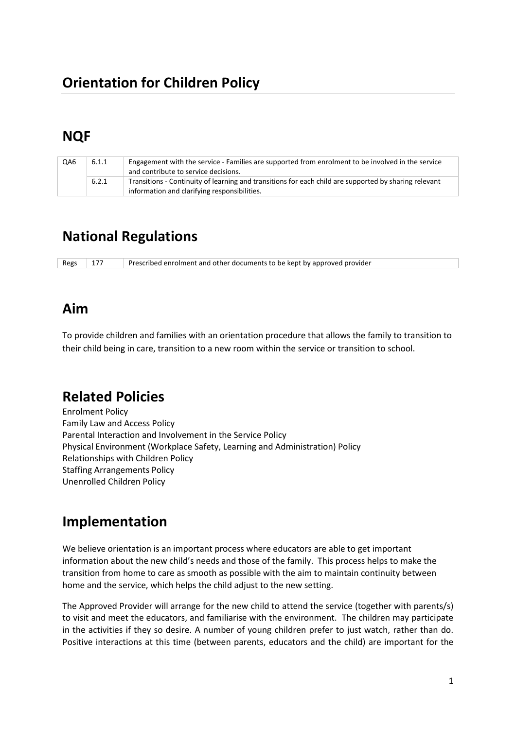# **NQF**

| QA6 | 6.1.1 | Engagement with the service - Families are supported from enrolment to be involved in the service<br>and contribute to service decisions.             |
|-----|-------|-------------------------------------------------------------------------------------------------------------------------------------------------------|
|     | 6.2.1 | Transitions - Continuity of learning and transitions for each child are supported by sharing relevant<br>information and clarifying responsibilities. |

# **National Regulations**

Regs 177 Prescribed enrolment and other documents to be kept by approved provider

# **Aim**

To provide children and families with an orientation procedure that allows the family to transition to their child being in care, transition to a new room within the service or transition to school.

# **Related Policies**

Enrolment Policy Family Law and Access Policy Parental Interaction and Involvement in the Service Policy Physical Environment (Workplace Safety, Learning and Administration) Policy Relationships with Children Policy Staffing Arrangements Policy Unenrolled Children Policy

# **Implementation**

We believe orientation is an important process where educators are able to get important information about the new child's needs and those of the family. This process helps to make the transition from home to care as smooth as possible with the aim to maintain continuity between home and the service, which helps the child adjust to the new setting.

The Approved Provider will arrange for the new child to attend the service (together with parents/s) to visit and meet the educators, and familiarise with the environment. The children may participate in the activities if they so desire. A number of young children prefer to just watch, rather than do. Positive interactions at this time (between parents, educators and the child) are important for the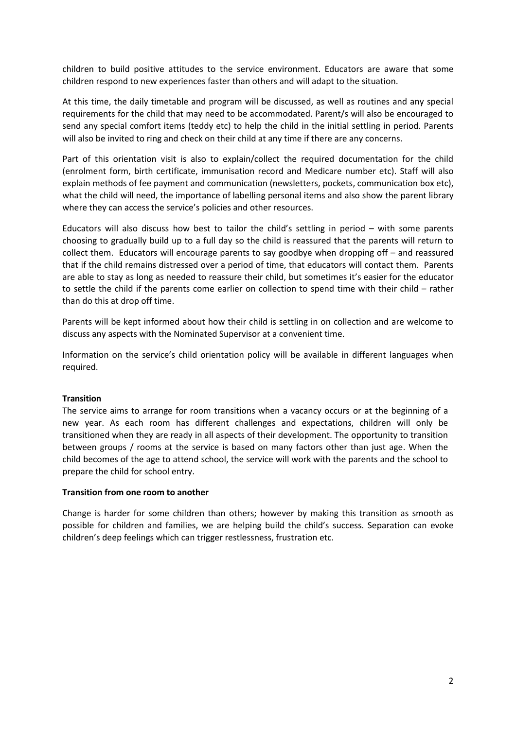children to build positive attitudes to the service environment. Educators are aware that some children respond to new experiences faster than others and will adapt to the situation.

At this time, the daily timetable and program will be discussed, as well as routines and any special requirements for the child that may need to be accommodated. Parent/s will also be encouraged to send any special comfort items (teddy etc) to help the child in the initial settling in period. Parents will also be invited to ring and check on their child at any time if there are any concerns.

Part of this orientation visit is also to explain/collect the required documentation for the child (enrolment form, birth certificate, immunisation record and Medicare number etc). Staff will also explain methods of fee payment and communication (newsletters, pockets, communication box etc), what the child will need, the importance of labelling personal items and also show the parent library where they can access the service's policies and other resources.

Educators will also discuss how best to tailor the child's settling in period – with some parents choosing to gradually build up to a full day so the child is reassured that the parents will return to collect them. Educators will encourage parents to say goodbye when dropping off – and reassured that if the child remains distressed over a period of time, that educators will contact them. Parents are able to stay as long as needed to reassure their child, but sometimes it's easier for the educator to settle the child if the parents come earlier on collection to spend time with their child – rather than do this at drop off time.

Parents will be kept informed about how their child is settling in on collection and are welcome to discuss any aspects with the Nominated Supervisor at a convenient time.

Information on the service's child orientation policy will be available in different languages when required.

### **Transition**

The service aims to arrange for room transitions when a vacancy occurs or at the beginning of a new year. As each room has different challenges and expectations, children will only be transitioned when they are ready in all aspects of their development. The opportunity to transition between groups / rooms at the service is based on many factors other than just age. When the child becomes of the age to attend school, the service will work with the parents and the school to prepare the child for school entry.

#### **Transition from one room to another**

Change is harder for some children than others; however by making this transition as smooth as possible for children and families, we are helping build the child's success. Separation can evoke children's deep feelings which can trigger restlessness, frustration etc.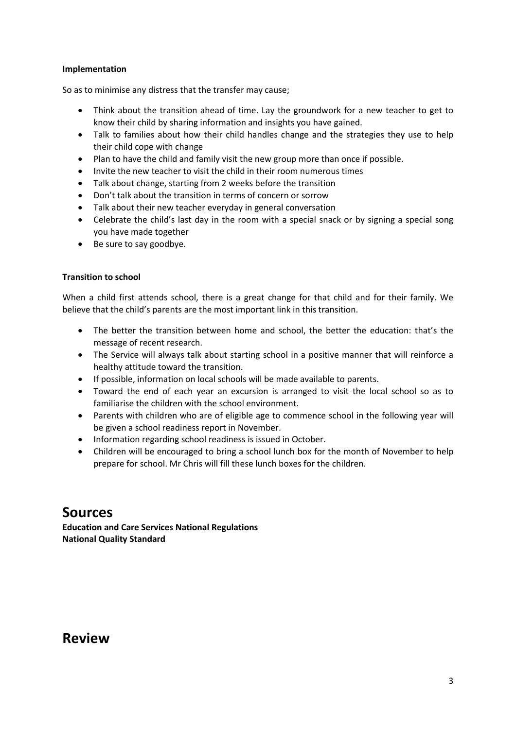### **Implementation**

So as to minimise any distress that the transfer may cause;

- Think about the transition ahead of time. Lay the groundwork for a new teacher to get to know their child by sharing information and insights you have gained.
- Talk to families about how their child handles change and the strategies they use to help their child cope with change
- Plan to have the child and family visit the new group more than once if possible.
- Invite the new teacher to visit the child in their room numerous times
- Talk about change, starting from 2 weeks before the transition
- Don't talk about the transition in terms of concern or sorrow
- Talk about their new teacher everyday in general conversation
- Celebrate the child's last day in the room with a special snack or by signing a special song you have made together
- Be sure to say goodbye.

### **Transition to school**

When a child first attends school, there is a great change for that child and for their family. We believe that the child's parents are the most important link in this transition.

- The better the transition between home and school, the better the education: that's the message of recent research.
- The Service will always talk about starting school in a positive manner that will reinforce a healthy attitude toward the transition.
- If possible, information on local schools will be made available to parents.
- Toward the end of each year an excursion is arranged to visit the local school so as to familiarise the children with the school environment.
- Parents with children who are of eligible age to commence school in the following year will be given a school readiness report in November.
- Information regarding school readiness is issued in October.
- Children will be encouraged to bring a school lunch box for the month of November to help prepare for school. Mr Chris will fill these lunch boxes for the children.

### **Sources**

**Education and Care Services National Regulations National Quality Standard**

### **Review**